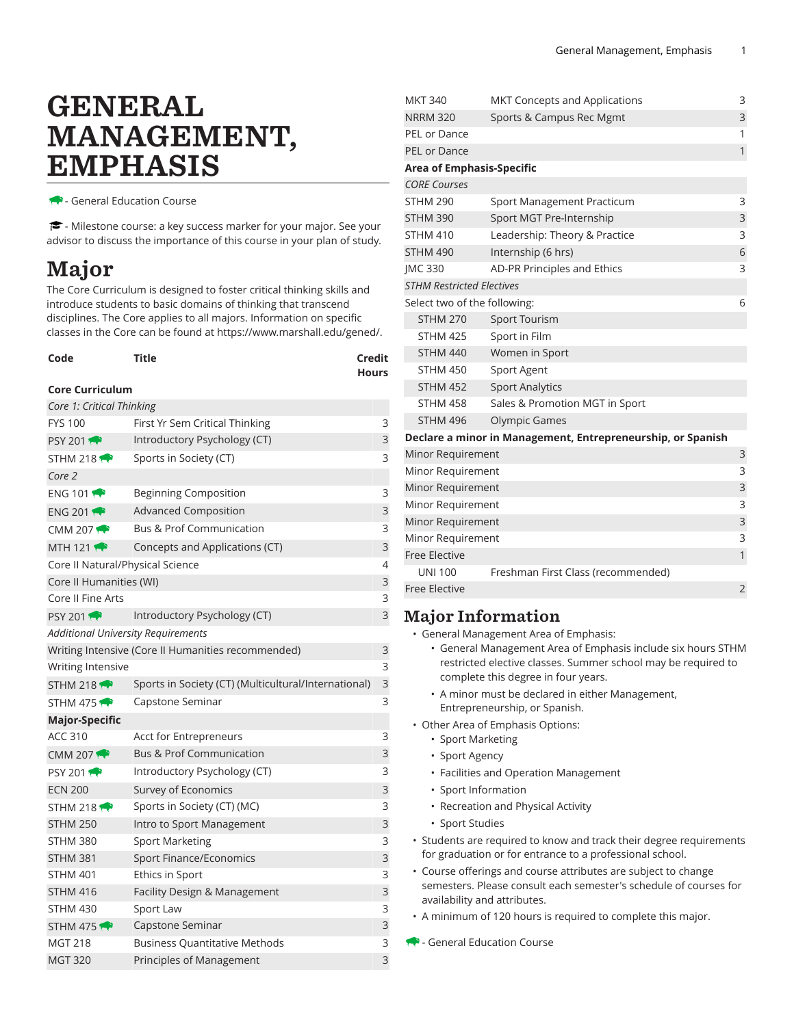# GENERAL MANAGEMENT, EMPHASIS

- General Education Course

- Milestone course: a key success marker for your major. See your advisor to discuss the importance of this course in your plan of study.

## Major

The Core Curriculum is designed to foster critical thinking skills and introduce students to basic domains of thinking that transcend disciplines. The Core applies to all majors. Information on specific classes in the Core can be found at [https://www.marshall.edu/gened/.](https://www.marshall.edu/gened/)

| Code            | Title | Credit       |  |
|-----------------|-------|--------------|--|
|                 |       | <b>Hours</b> |  |
| Core Curriculum |       |              |  |

#### **Core Curriculum**

| Core 1: Critical Thinking                 |                                                      |   |
|-------------------------------------------|------------------------------------------------------|---|
| <b>FYS 100</b>                            | First Yr Sem Critical Thinking                       | 3 |
| PSY 201                                   | Introductory Psychology (CT)                         | 3 |
| STHM 218 $\bullet$                        | Sports in Society (CT)                               | 3 |
| Core 2                                    |                                                      |   |
| ENG 101                                   | <b>Beginning Composition</b>                         | 3 |
| ENG 201                                   | <b>Advanced Composition</b>                          | 3 |
| CMM 207 $\leftrightarrow$                 | <b>Bus &amp; Prof Communication</b>                  | 3 |
| MTH 121 $\bullet$                         | Concepts and Applications (CT)                       | 3 |
| Core II Natural/Physical Science          |                                                      | 4 |
| Core II Humanities (WI)                   |                                                      | 3 |
| Core II Fine Arts                         |                                                      | 3 |
| <b>PSY 2011</b>                           | Introductory Psychology (CT)                         | 3 |
| <b>Additional University Requirements</b> |                                                      |   |
|                                           | Writing Intensive (Core II Humanities recommended)   | 3 |
| Writing Intensive                         |                                                      | 3 |
| STHM 218 $\leftrightarrow$                | Sports in Society (CT) (Multicultural/International) | 3 |
| STHM 475                                  | Capstone Seminar                                     | 3 |
| <b>Major-Specific</b>                     |                                                      |   |
| <b>ACC 310</b>                            | Acct for Entrepreneurs                               | 3 |
| CMM 207 $\rightarrow$                     | <b>Bus &amp; Prof Communication</b>                  | 3 |
| <b>PSY 2011</b>                           | Introductory Psychology (CT)                         | 3 |
| <b>ECN 200</b>                            | Survey of Economics                                  | 3 |
| STHM 218 $\rightarrow$                    | Sports in Society (CT) (MC)                          | 3 |
| <b>STHM 250</b>                           | Intro to Sport Management                            | 3 |
| <b>STHM 380</b>                           | <b>Sport Marketing</b>                               | 3 |
| <b>STHM 381</b>                           | Sport Finance/Economics                              | 3 |
| <b>STHM 401</b>                           | <b>Ethics in Sport</b>                               | 3 |
| <b>STHM 416</b>                           | Facility Design & Management                         | 3 |
| <b>STHM 430</b>                           | Sport Law                                            | 3 |
| STHM 475                                  | Capstone Seminar                                     | 3 |
| <b>MGT 218</b>                            | <b>Business Quantitative Methods</b>                 | 3 |
| <b>MGT 320</b>                            | Principles of Management                             | 3 |

| <b>MKT 340</b>                   | <b>MKT Concepts and Applications</b>                        | 3              |
|----------------------------------|-------------------------------------------------------------|----------------|
| <b>NRRM 320</b>                  | Sports & Campus Rec Mgmt                                    | 3              |
| <b>PEL or Dance</b>              |                                                             | 1              |
| <b>PEL or Dance</b>              |                                                             | $\mathbf{1}$   |
| <b>Area of Emphasis-Specific</b> |                                                             |                |
| <b>CORE Courses</b>              |                                                             |                |
| <b>STHM 290</b>                  | Sport Management Practicum                                  | 3              |
| <b>STHM 390</b>                  | Sport MGT Pre-Internship                                    | 3              |
| <b>STHM 410</b>                  | Leadership: Theory & Practice                               | 3              |
| <b>STHM 490</b>                  | Internship (6 hrs)                                          | 6              |
| <b>IMC 330</b>                   | AD-PR Principles and Ethics                                 | 3              |
| <b>STHM Restricted Electives</b> |                                                             |                |
| Select two of the following:     |                                                             | 6              |
| <b>STHM 270</b>                  | <b>Sport Tourism</b>                                        |                |
| <b>STHM 425</b>                  | Sport in Film                                               |                |
| <b>STHM 440</b>                  | Women in Sport                                              |                |
| <b>STHM 450</b>                  | <b>Sport Agent</b>                                          |                |
| <b>STHM 452</b>                  | <b>Sport Analytics</b>                                      |                |
| <b>STHM 458</b>                  | Sales & Promotion MGT in Sport                              |                |
| <b>STHM 496</b>                  | <b>Olympic Games</b>                                        |                |
|                                  | Declare a minor in Management, Entrepreneurship, or Spanish |                |
| Minor Requirement                |                                                             | 3              |
| Minor Requirement                |                                                             | 3              |
| Minor Requirement                |                                                             | 3              |
| Minor Requirement                |                                                             | 3              |
| Minor Requirement                |                                                             | 3              |
| Minor Requirement                |                                                             | 3              |
| <b>Free Elective</b>             |                                                             | $\mathbf{1}$   |
| <b>UNI 100</b>                   | Freshman First Class (recommended)                          |                |
| Free Elective                    |                                                             | $\overline{2}$ |

#### Major Information

- General Management Area of Emphasis:
	- General Management Area of Emphasis include six hours STHM restricted elective classes. Summer school may be required to complete this degree in four years.
	- A minor must be declared in either Management, Entrepreneurship, or Spanish.
- Other Area of Emphasis Options:
	- Sport Marketing
	- Sport Agency
	- Facilities and Operation Management
	- Sport Information
	- Recreation and Physical Activity
	- Sport Studies
- Students are required to know and track their degree requirements for graduation or for entrance to a professional school.
- Course offerings and course attributes are subject to change semesters. Please consult each semester's schedule of courses for availability and attributes.
- A minimum of 120 hours is required to complete this major.
- General Education Course